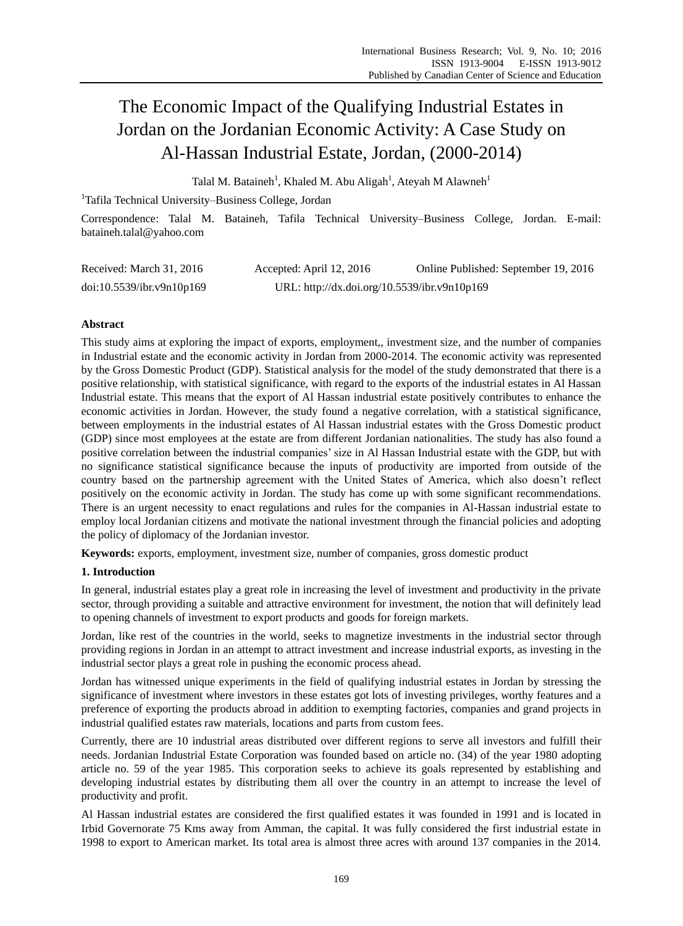# The Economic Impact of the Qualifying Industrial Estates in Jordan on the Jordanian Economic Activity: A Case Study on Al-Hassan Industrial Estate, Jordan, (2000-2014)

Talal M. Bataineh<sup>1</sup>, Khaled M. Abu Aligah<sup>1</sup>, Ateyah M Alawneh<sup>1</sup>

<sup>1</sup>Tafila Technical University–Business College, Jordan

Correspondence: Talal M. Bataineh, Tafila Technical University–Business College, Jordan. E-mail: bataineh.talal@yahoo.com

| Received: March 31, 2016  | Accepted: April 12, 2016                     | Online Published: September 19, 2016 |
|---------------------------|----------------------------------------------|--------------------------------------|
| doi:10.5539/ibr.v9n10p169 | URL: http://dx.doi.org/10.5539/ibr.v9n10p169 |                                      |

# **Abstract**

This study aims at exploring the impact of exports, employment,, investment size, and the number of companies in Industrial estate and the economic activity in Jordan from 2000-2014. The economic activity was represented by the Gross Domestic Product (GDP). Statistical analysis for the model of the study demonstrated that there is a positive relationship, with statistical significance, with regard to the exports of the industrial estates in Al Hassan Industrial estate. This means that the export of Al Hassan industrial estate positively contributes to enhance the economic activities in Jordan. However, the study found a negative correlation, with a statistical significance, between employments in the industrial estates of Al Hassan industrial estates with the Gross Domestic product (GDP) since most employees at the estate are from different Jordanian nationalities. The study has also found a positive correlation between the industrial companies' size in Al Hassan Industrial estate with the GDP, but with no significance statistical significance because the inputs of productivity are imported from outside of the country based on the partnership agreement with the United States of America, which also doesn't reflect positively on the economic activity in Jordan. The study has come up with some significant recommendations. There is an urgent necessity to enact regulations and rules for the companies in Al-Hassan industrial estate to employ local Jordanian citizens and motivate the national investment through the financial policies and adopting the policy of diplomacy of the Jordanian investor.

**Keywords:** exports, employment, investment size, number of companies, gross domestic product

# **1. Introduction**

In general, industrial estates play a great role in increasing the level of investment and productivity in the private sector, through providing a suitable and attractive environment for investment, the notion that will definitely lead to opening channels of investment to export products and goods for foreign markets.

Jordan, like rest of the countries in the world, seeks to magnetize investments in the industrial sector through providing regions in Jordan in an attempt to attract investment and increase industrial exports, as investing in the industrial sector plays a great role in pushing the economic process ahead.

Jordan has witnessed unique experiments in the field of qualifying industrial estates in Jordan by stressing the significance of investment where investors in these estates got lots of investing privileges, worthy features and a preference of exporting the products abroad in addition to exempting factories, companies and grand projects in industrial qualified estates raw materials, locations and parts from custom fees.

Currently, there are 10 industrial areas distributed over different regions to serve all investors and fulfill their needs. Jordanian Industrial Estate Corporation was founded based on article no. (34) of the year 1980 adopting article no. 59 of the year 1985. This corporation seeks to achieve its goals represented by establishing and developing industrial estates by distributing them all over the country in an attempt to increase the level of productivity and profit.

Al Hassan industrial estates are considered the first qualified estates it was founded in 1991 and is located in Irbid Governorate 75 Kms away from Amman, the capital. It was fully considered the first industrial estate in 1998 to export to American market. Its total area is almost three acres with around 137 companies in the 2014.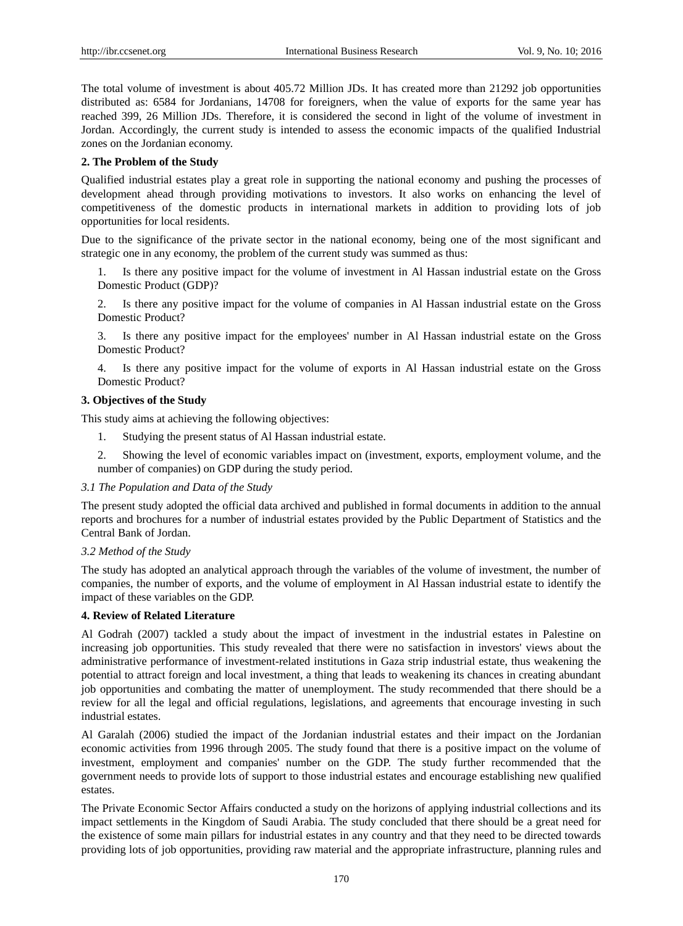The total volume of investment is about 405.72 Million JDs. It has created more than 21292 job opportunities distributed as: 6584 for Jordanians, 14708 for foreigners, when the value of exports for the same year has reached 399, 26 Million JDs. Therefore, it is considered the second in light of the volume of investment in Jordan. Accordingly, the current study is intended to assess the economic impacts of the qualified Industrial zones on the Jordanian economy.

# **2. The Problem of the Study**

Qualified industrial estates play a great role in supporting the national economy and pushing the processes of development ahead through providing motivations to investors. It also works on enhancing the level of competitiveness of the domestic products in international markets in addition to providing lots of job opportunities for local residents.

Due to the significance of the private sector in the national economy, being one of the most significant and strategic one in any economy, the problem of the current study was summed as thus:

1. Is there any positive impact for the volume of investment in Al Hassan industrial estate on the Gross Domestic Product (GDP)?

2. Is there any positive impact for the volume of companies in Al Hassan industrial estate on the Gross Domestic Product?

3. Is there any positive impact for the employees' number in Al Hassan industrial estate on the Gross Domestic Product?

4. Is there any positive impact for the volume of exports in Al Hassan industrial estate on the Gross Domestic Product?

# **3. Objectives of the Study**

This study aims at achieving the following objectives:

- 1. Studying the present status of Al Hassan industrial estate.
- 2. Showing the level of economic variables impact on (investment, exports, employment volume, and the number of companies) on GDP during the study period.

# *3.1 The Population and Data of the Study*

The present study adopted the official data archived and published in formal documents in addition to the annual reports and brochures for a number of industrial estates provided by the Public Department of Statistics and the Central Bank of Jordan.

# *3.2 Method of the Study*

The study has adopted an analytical approach through the variables of the volume of investment, the number of companies, the number of exports, and the volume of employment in Al Hassan industrial estate to identify the impact of these variables on the GDP.

# **4. Review of Related Literature**

Al Godrah (2007) tackled a study about the impact of investment in the industrial estates in Palestine on increasing job opportunities. This study revealed that there were no satisfaction in investors' views about the administrative performance of investment-related institutions in Gaza strip industrial estate, thus weakening the potential to attract foreign and local investment, a thing that leads to weakening its chances in creating abundant job opportunities and combating the matter of unemployment. The study recommended that there should be a review for all the legal and official regulations, legislations, and agreements that encourage investing in such industrial estates.

Al Garalah (2006) studied the impact of the Jordanian industrial estates and their impact on the Jordanian economic activities from 1996 through 2005. The study found that there is a positive impact on the volume of investment, employment and companies' number on the GDP. The study further recommended that the government needs to provide lots of support to those industrial estates and encourage establishing new qualified estates.

The Private Economic Sector Affairs conducted a study on the horizons of applying industrial collections and its impact settlements in the Kingdom of Saudi Arabia. The study concluded that there should be a great need for the existence of some main pillars for industrial estates in any country and that they need to be directed towards providing lots of job opportunities, providing raw material and the appropriate infrastructure, planning rules and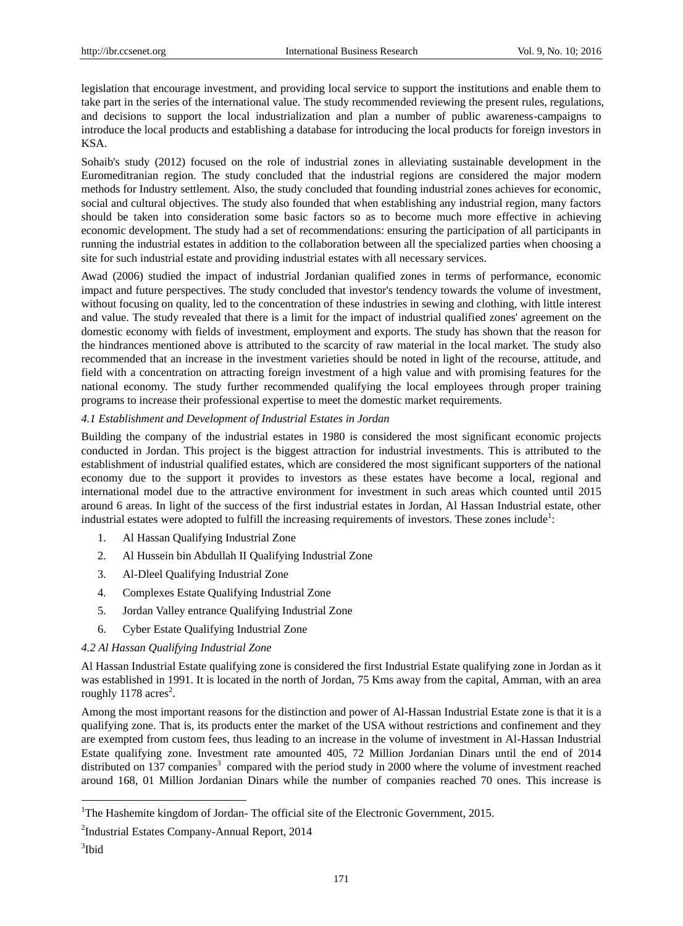legislation that encourage investment, and providing local service to support the institutions and enable them to take part in the series of the international value. The study recommended reviewing the present rules, regulations, and decisions to support the local industrialization and plan a number of public awareness-campaigns to introduce the local products and establishing a database for introducing the local products for foreign investors in KSA.

Sohaib's study (2012) focused on the role of industrial zones in alleviating sustainable development in the Euromeditranian region. The study concluded that the industrial regions are considered the major modern methods for Industry settlement. Also, the study concluded that founding industrial zones achieves for economic, social and cultural objectives. The study also founded that when establishing any industrial region, many factors should be taken into consideration some basic factors so as to become much more effective in achieving economic development. The study had a set of recommendations: ensuring the participation of all participants in running the industrial estates in addition to the collaboration between all the specialized parties when choosing a site for such industrial estate and providing industrial estates with all necessary services.

Awad (2006) studied the impact of industrial Jordanian qualified zones in terms of performance, economic impact and future perspectives. The study concluded that investor's tendency towards the volume of investment, without focusing on quality, led to the concentration of these industries in sewing and clothing, with little interest and value. The study revealed that there is a limit for the impact of industrial qualified zones' agreement on the domestic economy with fields of investment, employment and exports. The study has shown that the reason for the hindrances mentioned above is attributed to the scarcity of raw material in the local market. The study also recommended that an increase in the investment varieties should be noted in light of the recourse, attitude, and field with a concentration on attracting foreign investment of a high value and with promising features for the national economy. The study further recommended qualifying the local employees through proper training programs to increase their professional expertise to meet the domestic market requirements.

# *4.1 Establishment and Development of Industrial Estates in Jordan*

Building the company of the industrial estates in 1980 is considered the most significant economic projects conducted in Jordan. This project is the biggest attraction for industrial investments. This is attributed to the establishment of industrial qualified estates, which are considered the most significant supporters of the national economy due to the support it provides to investors as these estates have become a local, regional and international model due to the attractive environment for investment in such areas which counted until 2015 around 6 areas. In light of the success of the first industrial estates in Jordan, Al Hassan Industrial estate, other industrial estates were adopted to fulfill the increasing requirements of investors. These zones include<sup>1</sup>:

- 1. Al Hassan Qualifying Industrial Zone
- 2. Al Hussein bin Abdullah II Qualifying Industrial Zone
- 3. Al-Dleel Qualifying Industrial Zone
- 4. Complexes Estate Qualifying Industrial Zone
- 5. Jordan Valley entrance Qualifying Industrial Zone
- 6. Cyber Estate Qualifying Industrial Zone

# *4.2 Al Hassan Qualifying Industrial Zone*

Al Hassan Industrial Estate qualifying zone is considered the first Industrial Estate qualifying zone in Jordan as it was established in 1991. It is located in the north of Jordan, 75 Kms away from the capital, Amman, with an area roughly  $1178$  acres<sup>2</sup>.

Among the most important reasons for the distinction and power of Al-Hassan Industrial Estate zone is that it is a qualifying zone. That is, its products enter the market of the USA without restrictions and confinement and they are exempted from custom fees, thus leading to an increase in the volume of investment in Al-Hassan Industrial Estate qualifying zone. Investment rate amounted 405, 72 Million Jordanian Dinars until the end of 2014 distributed on 137 companies<sup>3</sup> compared with the period study in 2000 where the volume of investment reached around 168, 01 Million Jordanian Dinars while the number of companies reached 70 ones. This increase is

-

<sup>&</sup>lt;sup>1</sup>The Hashemite kingdom of Jordan- The official site of the Electronic Government, 2015.

<sup>&</sup>lt;sup>2</sup>Industrial Estates Company-Annual Report, 2014

<sup>3</sup> Ibid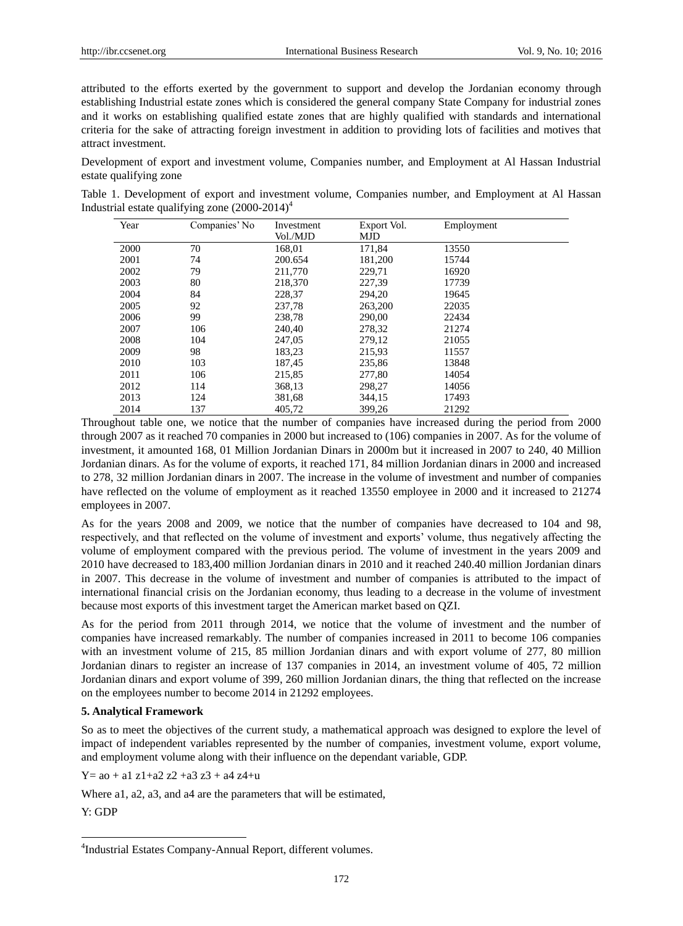attributed to the efforts exerted by the government to support and develop the Jordanian economy through establishing Industrial estate zones which is considered the general company State Company for industrial zones and it works on establishing qualified estate zones that are highly qualified with standards and international criteria for the sake of attracting foreign investment in addition to providing lots of facilities and motives that attract investment.

Development of export and investment volume, Companies number, and Employment at Al Hassan Industrial estate qualifying zone

Table 1. Development of export and investment volume, Companies number, and Employment at Al Hassan Industrial estate qualifying zone  $(2000-2014)^4$ 

| Year | Companies' No | Investment | Export Vol. | Employment |
|------|---------------|------------|-------------|------------|
|      |               | Vol./MJD   | <b>MJD</b>  |            |
| 2000 | 70            | 168,01     | 171,84      | 13550      |
| 2001 | 74            | 200.654    | 181,200     | 15744      |
| 2002 | 79            | 211,770    | 229,71      | 16920      |
| 2003 | 80            | 218,370    | 227,39      | 17739      |
| 2004 | 84            | 228,37     | 294,20      | 19645      |
| 2005 | 92            | 237,78     | 263,200     | 22035      |
| 2006 | 99            | 238.78     | 290,00      | 22434      |
| 2007 | 106           | 240.40     | 278,32      | 21274      |
| 2008 | 104           | 247,05     | 279,12      | 21055      |
| 2009 | 98            | 183,23     | 215,93      | 11557      |
| 2010 | 103           | 187,45     | 235,86      | 13848      |
| 2011 | 106           | 215,85     | 277,80      | 14054      |
| 2012 | 114           | 368,13     | 298,27      | 14056      |
| 2013 | 124           | 381,68     | 344,15      | 17493      |
| 2014 | 137           | 405,72     | 399,26      | 21292      |

Throughout table one, we notice that the number of companies have increased during the period from 2000 through 2007 as it reached 70 companies in 2000 but increased to (106) companies in 2007. As for the volume of investment, it amounted 168, 01 Million Jordanian Dinars in 2000m but it increased in 2007 to 240, 40 Million Jordanian dinars. As for the volume of exports, it reached 171, 84 million Jordanian dinars in 2000 and increased to 278, 32 million Jordanian dinars in 2007. The increase in the volume of investment and number of companies have reflected on the volume of employment as it reached 13550 employee in 2000 and it increased to 21274 employees in 2007.

As for the years 2008 and 2009, we notice that the number of companies have decreased to 104 and 98, respectively, and that reflected on the volume of investment and exports' volume, thus negatively affecting the volume of employment compared with the previous period. The volume of investment in the years 2009 and 2010 have decreased to 183,400 million Jordanian dinars in 2010 and it reached 240.40 million Jordanian dinars in 2007. This decrease in the volume of investment and number of companies is attributed to the impact of international financial crisis on the Jordanian economy, thus leading to a decrease in the volume of investment because most exports of this investment target the American market based on QZI.

As for the period from 2011 through 2014, we notice that the volume of investment and the number of companies have increased remarkably. The number of companies increased in 2011 to become 106 companies with an investment volume of 215, 85 million Jordanian dinars and with export volume of 277, 80 million Jordanian dinars to register an increase of 137 companies in 2014, an investment volume of 405, 72 million Jordanian dinars and export volume of 399, 260 million Jordanian dinars, the thing that reflected on the increase on the employees number to become 2014 in 21292 employees.

## **5. Analytical Framework**

So as to meet the objectives of the current study, a mathematical approach was designed to explore the level of impact of independent variables represented by the number of companies, investment volume, export volume, and employment volume along with their influence on the dependant variable, GDP.

 $Y=$  ao + a1 z1+a2 z2 +a3 z3 + a4 z4+u

Where a1, a2, a3, and a4 are the parameters that will be estimated,

Y: GDP

-

<sup>4</sup> Industrial Estates Company-Annual Report, different volumes.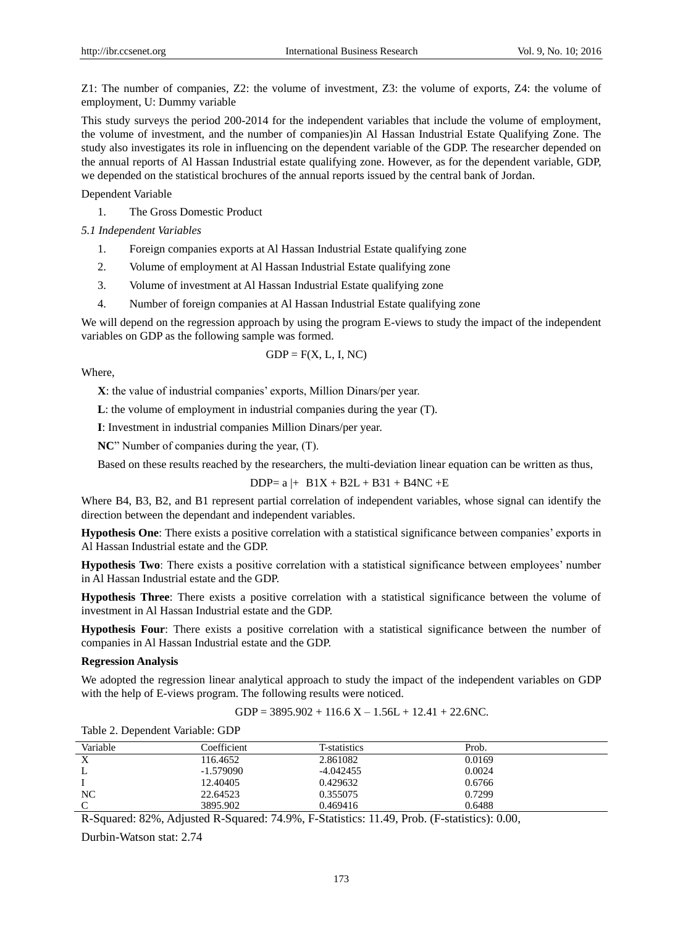Z1: The number of companies, Z2: the volume of investment, Z3: the volume of exports, Z4: the volume of employment, U: Dummy variable

This study surveys the period 200-2014 for the independent variables that include the volume of employment, the volume of investment, and the number of companies)in Al Hassan Industrial Estate Qualifying Zone. The study also investigates its role in influencing on the dependent variable of the GDP. The researcher depended on the annual reports of Al Hassan Industrial estate qualifying zone. However, as for the dependent variable, GDP, we depended on the statistical brochures of the annual reports issued by the central bank of Jordan.

Dependent Variable

1. The Gross Domestic Product

*5.1 Independent Variables* 

- 1. Foreign companies exports at Al Hassan Industrial Estate qualifying zone
- 2. Volume of employment at Al Hassan Industrial Estate qualifying zone
- 3. Volume of investment at Al Hassan Industrial Estate qualifying zone
- 4. Number of foreign companies at Al Hassan Industrial Estate qualifying zone

We will depend on the regression approach by using the program E-views to study the impact of the independent variables on GDP as the following sample was formed.

$$
GDP = F(X, L, I, NC)
$$

Where,

**X**: the value of industrial companies' exports, Million Dinars/per year.

**L**: the volume of employment in industrial companies during the year (T).

**I**: Investment in industrial companies Million Dinars/per year.

**NC**" Number of companies during the year, (T).

Based on these results reached by the researchers, the multi-deviation linear equation can be written as thus,

 $DDP = a \mid + B1X + B2L + B31 + B4NC + E$ 

Where B4, B3, B2, and B1 represent partial correlation of independent variables, whose signal can identify the direction between the dependant and independent variables.

**Hypothesis One**: There exists a positive correlation with a statistical significance between companies' exports in Al Hassan Industrial estate and the GDP.

**Hypothesis Two**: There exists a positive correlation with a statistical significance between employees' number in Al Hassan Industrial estate and the GDP.

**Hypothesis Three**: There exists a positive correlation with a statistical significance between the volume of investment in Al Hassan Industrial estate and the GDP.

**Hypothesis Four**: There exists a positive correlation with a statistical significance between the number of companies in Al Hassan Industrial estate and the GDP.

#### **Regression Analysis**

We adopted the regression linear analytical approach to study the impact of the independent variables on GDP with the help of E-views program. The following results were noticed.

GDP = 
$$
3895.902 + 116.6 X - 1.56L + 12.41 + 22.6NC
$$
.

| Variable          | Coefficient | T-statistics | Prob.  |  |
|-------------------|-------------|--------------|--------|--|
| $\mathbf{v}$<br>Λ | 116.4652    | 2.861082     | 0.0169 |  |
|                   | $-1.579090$ | $-4.042455$  | 0.0024 |  |
|                   | 12.40405    | 0.429632     | 0.6766 |  |
| NC                | 22.64523    | 0.355075     | 0.7299 |  |
|                   | 3895.902    | 0.469416     | 0.6488 |  |

Table 2. Dependent Variable: GDP

R-Squared: 82%, Adjusted R-Squared: 74.9%, F-Statistics: 11.49, Prob. (F-statistics): 0.00,

Durbin-Watson stat: 2.74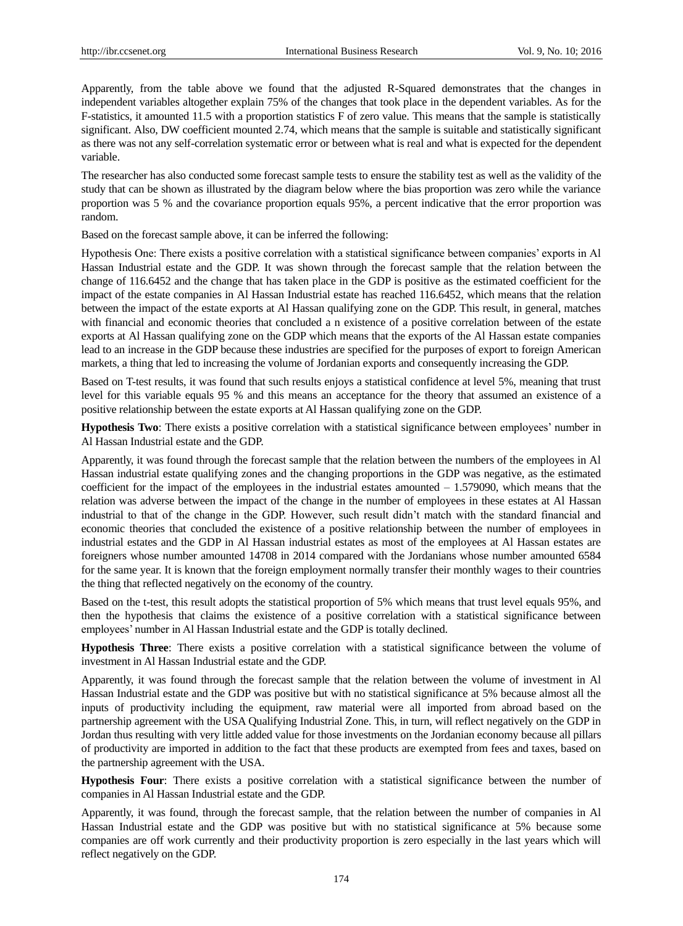Apparently, from the table above we found that the adjusted R-Squared demonstrates that the changes in independent variables altogether explain 75% of the changes that took place in the dependent variables. As for the F-statistics, it amounted 11.5 with a proportion statistics F of zero value. This means that the sample is statistically significant. Also, DW coefficient mounted 2.74, which means that the sample is suitable and statistically significant as there was not any self-correlation systematic error or between what is real and what is expected for the dependent variable.

The researcher has also conducted some forecast sample tests to ensure the stability test as well as the validity of the study that can be shown as illustrated by the diagram below where the bias proportion was zero while the variance proportion was 5 % and the covariance proportion equals 95%, a percent indicative that the error proportion was random.

Based on the forecast sample above, it can be inferred the following:

Hypothesis One: There exists a positive correlation with a statistical significance between companies' exports in Al Hassan Industrial estate and the GDP. It was shown through the forecast sample that the relation between the change of 116.6452 and the change that has taken place in the GDP is positive as the estimated coefficient for the impact of the estate companies in Al Hassan Industrial estate has reached 116.6452, which means that the relation between the impact of the estate exports at Al Hassan qualifying zone on the GDP. This result, in general, matches with financial and economic theories that concluded a n existence of a positive correlation between of the estate exports at Al Hassan qualifying zone on the GDP which means that the exports of the Al Hassan estate companies lead to an increase in the GDP because these industries are specified for the purposes of export to foreign American markets, a thing that led to increasing the volume of Jordanian exports and consequently increasing the GDP.

Based on T-test results, it was found that such results enjoys a statistical confidence at level 5%, meaning that trust level for this variable equals 95 % and this means an acceptance for the theory that assumed an existence of a positive relationship between the estate exports at Al Hassan qualifying zone on the GDP.

**Hypothesis Two**: There exists a positive correlation with a statistical significance between employees' number in Al Hassan Industrial estate and the GDP.

Apparently, it was found through the forecast sample that the relation between the numbers of the employees in Al Hassan industrial estate qualifying zones and the changing proportions in the GDP was negative, as the estimated coefficient for the impact of the employees in the industrial estates amounted – 1.579090, which means that the relation was adverse between the impact of the change in the number of employees in these estates at Al Hassan industrial to that of the change in the GDP. However, such result didn't match with the standard financial and economic theories that concluded the existence of a positive relationship between the number of employees in industrial estates and the GDP in Al Hassan industrial estates as most of the employees at Al Hassan estates are foreigners whose number amounted 14708 in 2014 compared with the Jordanians whose number amounted 6584 for the same year. It is known that the foreign employment normally transfer their monthly wages to their countries the thing that reflected negatively on the economy of the country.

Based on the t-test, this result adopts the statistical proportion of 5% which means that trust level equals 95%, and then the hypothesis that claims the existence of a positive correlation with a statistical significance between employees' number in Al Hassan Industrial estate and the GDP is totally declined.

**Hypothesis Three**: There exists a positive correlation with a statistical significance between the volume of investment in Al Hassan Industrial estate and the GDP.

Apparently, it was found through the forecast sample that the relation between the volume of investment in Al Hassan Industrial estate and the GDP was positive but with no statistical significance at 5% because almost all the inputs of productivity including the equipment, raw material were all imported from abroad based on the partnership agreement with the USA Qualifying Industrial Zone. This, in turn, will reflect negatively on the GDP in Jordan thus resulting with very little added value for those investments on the Jordanian economy because all pillars of productivity are imported in addition to the fact that these products are exempted from fees and taxes, based on the partnership agreement with the USA.

**Hypothesis Four**: There exists a positive correlation with a statistical significance between the number of companies in Al Hassan Industrial estate and the GDP.

Apparently, it was found, through the forecast sample, that the relation between the number of companies in Al Hassan Industrial estate and the GDP was positive but with no statistical significance at 5% because some companies are off work currently and their productivity proportion is zero especially in the last years which will reflect negatively on the GDP.